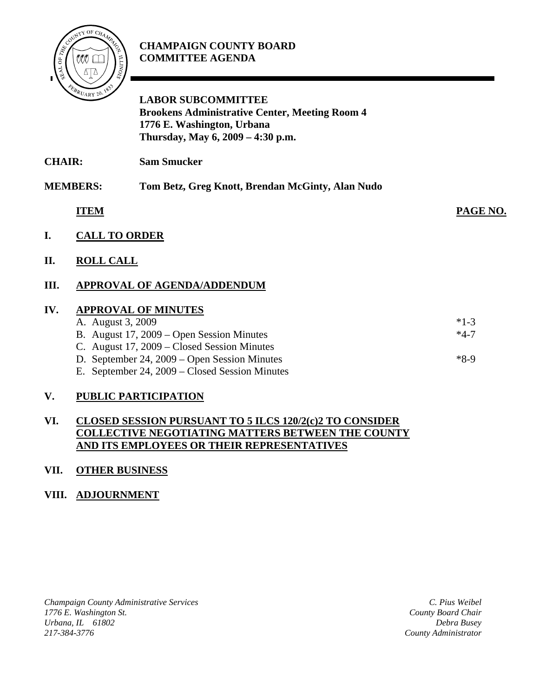

#### **CHAMPAIGN COUNTY BOARD COMMITTEE AGENDA**

# **LABOR SUBCOMMITTEE Brookens Administrative Center, Meeting Room 4 1776 E. Washington, Urbana Thursday, May 6, 2009 – 4:30 p.m.**

**CHAIR: Sam Smucker** 

### **MEMBERS: Tom Betz, Greg Knott, Brendan McGinty, Alan Nudo**

**ITEM PAGE NO.**

- **I. CALL TO ORDER**
- **II. ROLL CALL**

# **III. APPROVAL OF AGENDA/ADDENDUM**

#### **IV. APPROVAL OF MINUTES**

| <i>INTERVALLE OF MIRTUALITY</i>                |        |
|------------------------------------------------|--------|
| A. August 3, 2009                              | $*1-3$ |
| B. August 17, 2009 – Open Session Minutes      | $*4-7$ |
| C. August $17, 2009$ – Closed Session Minutes  |        |
| D. September 24, 2009 – Open Session Minutes   | $*8-9$ |
| E. September 24, 2009 – Closed Session Minutes |        |
|                                                |        |

### **V. PUBLIC PARTICIPATION**

#### **VI. CLOSED SESSION PURSUANT TO 5 ILCS 120/2(c)2 TO CONSIDER COLLECTIVE NEGOTIATING MATTERS BETWEEN THE COUNTY AND ITS EMPLOYEES OR THEIR REPRESENTATIVES**

### **VII. OTHER BUSINESS**

### **VIII. ADJOURNMENT**

*Champaign County Administrative Services 1776 E. Washington St. Urbana, IL 61802 217-384-3776*

*C. Pius Weibel County Board Chair Debra Busey County Administrator*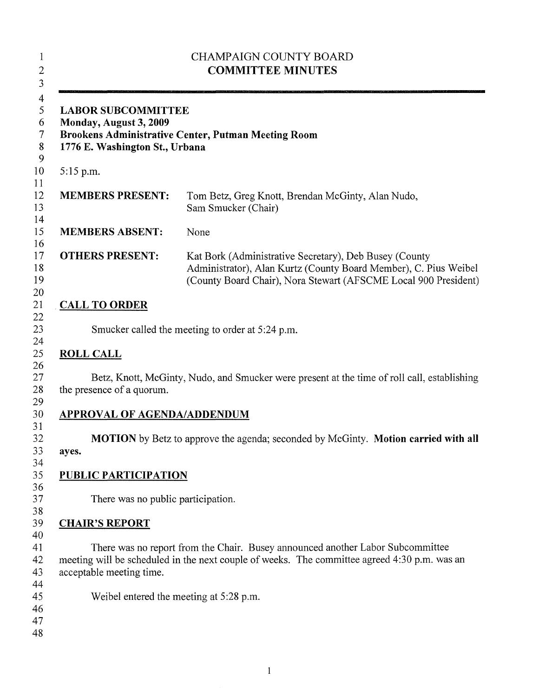| <b>LABOR SUBCOMMITTEE</b><br>Monday, August 3, 2009<br>Brookens Administrative Center, Putman Meeting Room<br>1776 E. Washington St., Urbana |                                                                                                                                                                                               |  |  |
|----------------------------------------------------------------------------------------------------------------------------------------------|-----------------------------------------------------------------------------------------------------------------------------------------------------------------------------------------------|--|--|
| $5:15$ p.m.                                                                                                                                  |                                                                                                                                                                                               |  |  |
| <b>MEMBERS PRESENT:</b>                                                                                                                      | Tom Betz, Greg Knott, Brendan McGinty, Alan Nudo,<br>Sam Smucker (Chair)                                                                                                                      |  |  |
| <b>MEMBERS ABSENT:</b>                                                                                                                       | None                                                                                                                                                                                          |  |  |
| <b>OTHERS PRESENT:</b>                                                                                                                       | Kat Bork (Administrative Secretary), Deb Busey (County<br>Administrator), Alan Kurtz (County Board Member), C. Pius Weibel<br>(County Board Chair), Nora Stewart (AFSCME Local 900 President) |  |  |
| <b>CALL TO ORDER</b>                                                                                                                         |                                                                                                                                                                                               |  |  |
|                                                                                                                                              | Smucker called the meeting to order at 5:24 p.m.                                                                                                                                              |  |  |
| <b>ROLL CALL</b>                                                                                                                             |                                                                                                                                                                                               |  |  |
| the presence of a quorum.                                                                                                                    | Betz, Knott, McGinty, Nudo, and Smucker were present at the time of roll call, establishing                                                                                                   |  |  |
| <b>APPROVAL OF AGENDA/ADDENDUM</b>                                                                                                           |                                                                                                                                                                                               |  |  |
| ayes.                                                                                                                                        | <b>MOTION</b> by Betz to approve the agenda; seconded by McGinty. <b>Motion carried with all</b>                                                                                              |  |  |
| <b>PUBLIC PARTICIPATION</b>                                                                                                                  |                                                                                                                                                                                               |  |  |
| There was no public participation.                                                                                                           |                                                                                                                                                                                               |  |  |
|                                                                                                                                              |                                                                                                                                                                                               |  |  |
| <b>CHAIR'S REPORT</b>                                                                                                                        |                                                                                                                                                                                               |  |  |
|                                                                                                                                              | There was no report from the Chair. Busey announced another Labor Subcommittee                                                                                                                |  |  |
| acceptable meeting time.                                                                                                                     | meeting will be scheduled in the next couple of weeks. The committee agreed 4:30 p.m. was an                                                                                                  |  |  |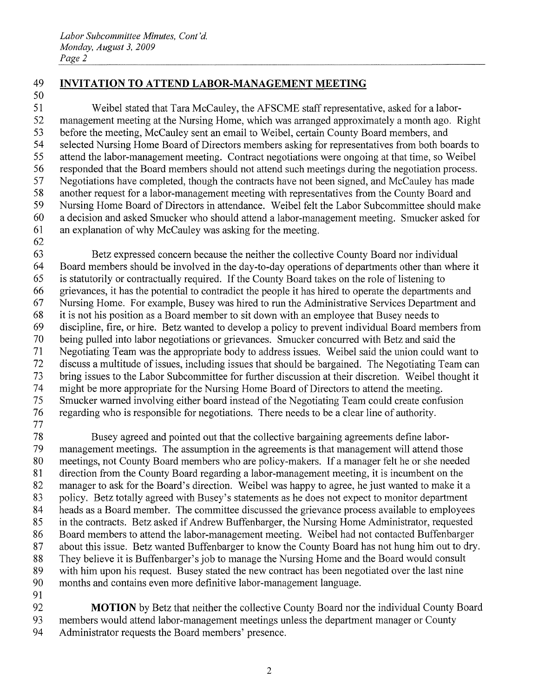# 49 INVITATION TO ATTEND LABOR-MANAGEMENT MEETING 49 **INVITATION TO ATTEND LABOR-MANAGEMENT MEETING**

 Weibel stated that Tara McCauley, the AFSCME staff representative, asked for a labor-51 Weibel stated that Tara McCauley, the AFSCME staff representative, asked for a labor- management meeting at the Nursing Home, which was arranged approximately <sup>a</sup> month ago. Right 52 management meeting at the Nursing Home, which was arranged approximately a month ago. Right before the meeting, McCauley sent an email to Weibel, certain County Board members, and 53 before the meeting, McCauley sent an email to Weibel, certain County Board members, and selected Nursing Home Board of Directors members asking for representatives from both boards to 54 selected Nursing Home Board of Directors members asking for representatives from both boards to attend the labor-management meeting. Contract negotiations were ongoing at that time, so Weibel 55 attend the labor-management meeting. Contract negotiations were ongoing at that time, so Weibel responded that the Board members should not attend such meetings during the negotiation process. 56 responded that the Board members should not attend such meetings during the negotiation process. Negotiations have completed, though the contracts have not been signed, and McCauley has made 57 Negotiations have completed, though the contracts have not been signed, and McCauley has made another request for <sup>a</sup> labor-management meeting with representatives from the County Board and 58 another request for a labor-management meeting with representatives from the County Board and Nursing Home Board of Directors in attendance. Weibel felt the Labor Subcommittee should make 59 Nursing Home Board of Directors in attendance. Weibel felt the Labor Subcommittee should make <sup>a</sup> decision and asked Smucker who should attend <sup>a</sup> labor-management meeting. Smucker asked for 60 a decision and asked Smucker who should attend a labor-management meeting. Smucker asked for an explanation of why McCauley was asking for the meeting. 61 an explanation of why McCauley was asking for the meeting.

62 62

 Betz expressed concern because the neither the collective County Board nor individual 63 Betz expressed concern because the neither the collective County Board nor individual Board members should be involved in the day-to-day operations of departments other than where it 64 Board members should be involved in the day-to-day operations of departments other than where it is statutorily or contractually required. If the County Board takes on the role of listening to 65 is statutorily or contractually required. If the County Board takes on the role of listening to grievances, it has the potential to contradict the people it has hired to operate the departments and 66 grievances, it has the potential to contradict the people it has hired to operate the departments and Nursing Home. For example, Busey was hired to run the Administrative Services Department and 67 Nursing Home. For example, Busey was hired to run the Administrative Services Department and 68 it is not his position as a Board member to sit down with an employee that Busey needs to discipline, fire, or hire. Betz wanted to develop <sup>a</sup> policy to prevent individual Board members from 69 discipline, fire, or hire. Betz wanted to develop a policy to prevent individual Board members from being pulled into labor negotiations or grievances. Smucker concurred with Betz and said the 70 being pulled into labor negotiations or grievances. Smucker concurred with Betz and said the Negotiating Team was the appropriate body to address issues. Weibel said the union could want to 71 Negotiating Team was the appropriate body to address issues. Weibel said the union could want to discuss <sup>a</sup> multitude of issues, including issues that should be bargained. The Negotiating Team can 72 discuss a multitude of issues, including issues that should be bargained. The Negotiating Team can bring issues to the Labor Subcommittee for further discussion at their discretion. Weibel thought it 73 bring issues to the Labor Subcommittee for further discussion at their discretion. Weibel thought it might be more appropriate for the Nursing Home Board of Directors to attend the meeting. 74 might be more appropriate for the Nursing Home Board of Directors to attend the meeting. Smucker warned involving either board instead of the Negotiating Team could create confusion 75 Smucker warned involving either board instead of the Negotiating Team could create confusion regarding who is responsible for negotiations. There needs to be <sup>a</sup> clear line of authority. 76 regarding who is responsible for negotiations. There needs to be a clear line of authority.

77 77

 Busey agreed and pointed out that the collective bargaining agreements define labor-78 Busey agreed and pointed out that the collective bargaining agreements define labor- management meetings. The assumption in the agreements is that management will attend those 79 management meetings. The assumption in the agreements is that management will attend those meetings, not County Board members who are policy-makers. If <sup>a</sup> manager felt he or she needed 80 meetings, not County Board members who are policy-makers. If a manager felt he or she needed 81 direction from the County Board regarding a labor-management meeting, it is incumbent on the manager to ask for the Board's direction. Weibel was happy to agree, he just wanted to make it a 82 manager to ask for the Board's direction. Weibel was happy to agree, he just wanted to make it a policy, Betz totally agreed with Busey's statements as he does not expect to monitor department 83 policy. Betz totally agreed with Busey's statements as he does not expect to monitor department heads as <sup>a</sup> Board member. The committee discussed the grievance process available to employees 84 heads as a Board member. The committee discussed the grievance process available to employees 85 in the contracts. Betz asked if Andrew Buffenbarger, the Nursing Home Administrator, requested 86 Board members to attend the labor-management meeting. Weibel had not contacted Buffenbarger about this issue. Betz wanted Buffenbarger to know the County Board has not hung him out to dry. 87 about this issue. Betz wanted Buffenbarger to know the County Board has not hung him out to dry. They believe it is Buffenbarger's job to manage the Nursing Home and the Board would consult 88 They believe it is Buffenbarger's job to manage the Nursing Home and the Board would consult with him upon his request. Busey stated the new contract has been negotiated over the last nine 89 with him upon his request. Busey stated the new contract has been negotiated over the last nine months and contains even more definitive labor-management language. 90 months and contains even more definitive labor-management language. 91 91

92 MOTION by Betz that neither the collective County Board nor the individual County Board 92 **MOTION** by Betz that neither the collective County Board nor the individual County Board 93 members would attend labor-management meetings unless the department manager or County 93 members would attend labor-management meetings unless the department manager or County 94 Administrator requests the Board members' presence. 94 Administrator requests the Board members' presence.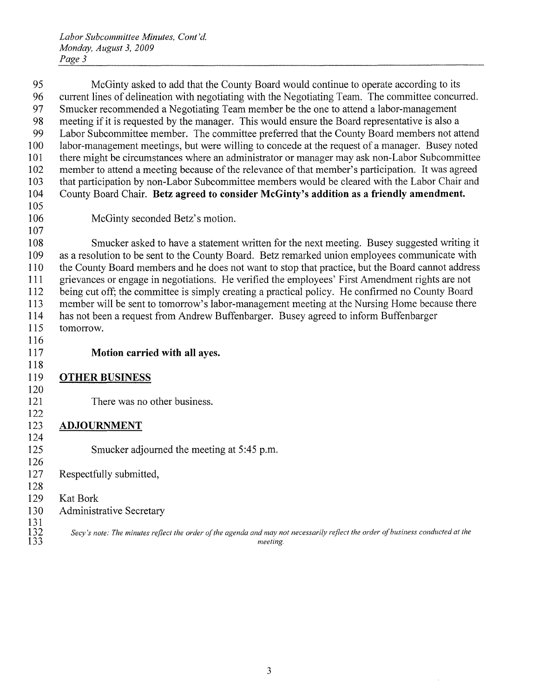Labor Subcommittee Minutes, Cont 'd. *Labor Subcommittee Minutes, Cont'd.*  Monday, August 3, 2009 *Monday, August* 3, *2009*  Page 3 *Page* 3

 McGinty asked to add that the County Board would continue to operate according to its 95 McGinty asked to add that the County Board would continue to operate according to its 96 current lines of delineation with negotiating with the Negotiating Team. The committee concurred. Smucker recommended <sup>a</sup> Negotiating Team member be the one to attend <sup>a</sup> labor-management 97 Smucker recommended a Negotiating Team member be the one to attend a labor-management meeting if it is requested by the manager. This would ensure the Board representative is also <sup>a</sup> 98 meeting if it is requested by the manager. This would ensure the Board representative is also a Labor Subcommittee member. The committee preferred that the County Board members not attend 99 Labor Subcommittee member. The committee preferred that the County Board members not attend labor-management meetings, but were willing to concede at the request of <sup>a</sup> manager. Busey noted 100 labor-management meetings, but were willing to concede at the request of a manager. Busey noted there might be circumstances where an administrator or manager may ask non-Labor Subcommittee 101 there might be circumstances where an administrator or manager may ask non-Labor Subcommittee member to attend <sup>a</sup> meeting because of the relevance of that member's participation. It was agreed 102 member to attend a meeting because of the relevance of that member's participation. It was agreed that participation by non-Labor Subcommittee members would be cleared with the Labor Chair and 103 that participation by non-Labor Subcommittee members would be cleared with the Labor Chair and 104 County Board Chair. Betz agreed to consider McGinty's addition as a friendly amendment. 105 105 McGinty seconded Betz' <sup>s</sup> motion. 106 McGinty seconded Betz's motion. 107 107 108 Smucker asked to have a statement written for the next meeting. Busey suggested writing it as <sup>a</sup> resolution to be sent to the County Board. Betz remarked union employees communicate with 109 as a resolution to be sent to the County Board. Betz remarked union employees communicate with the County Board members and he does not want to stop that practice, but the Board cannot address 110 the County Board members and he does not want to stop that practice, but the Board cannot address grievances or engage in negotiations. He verified the employees' First Amendment rights are not 111 grievances or engage in negotiations. He verified the employees' First Amendment rights are not being cut off; the committee is simply creating <sup>a</sup> practical policy. He confirmed no County Board 112 being cut off; the committee is simply creating a practical policy. He confirmed no County Board member will be sent to tomorrow's labor-management meeting at the Nursing Home because there 113 member will be sent to tomorrow's labor-management meeting at the Nursing Home because there has not been <sup>a</sup> request from Andrew Buffenbarger. Busey agreed to inform Buffenbarger 114 has not been a request from Andrew Buffenbarger. Busey agreed to inform Buffenbarger tomorrow. 115 tomorrow. 116 116 Motion carried with all ayes. 117 Motion carried with all ayes. 118 118 OTHER BUSINESS 119 OTHER BUSINESS 120 120 There was no other business. 121 There was no other business. 122 122 ADJOURNMENT 123 ADJOURNMENT 124 124 Smucker adjourned the meeting at 5:45 p.m. 125 Smucker adjourned the meeting at 5:45 p.m. 126 126 Respectfully submitted, 127 Respectfully submitted, 128 128 KatBork 129 Kat Bork Administrative Secretary 130 Administrative Secretary 131 131 Secy's note: The minutes reflect the order of the agenda and may not necessarily reflect the order of business conducted at the<br>133 133 *meeting.*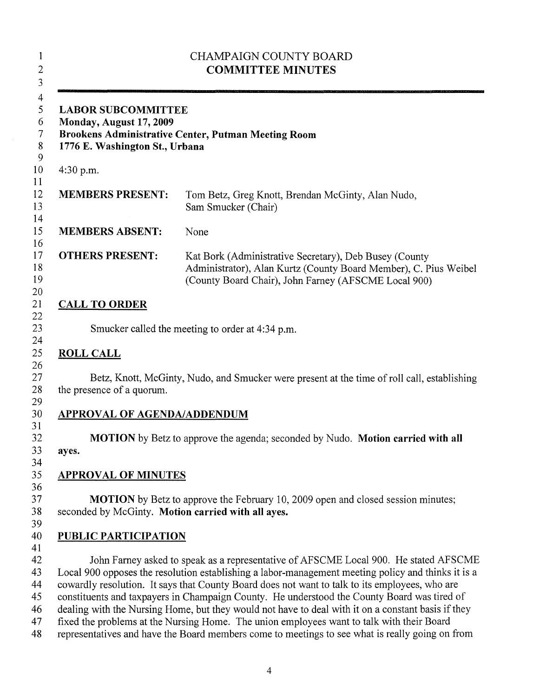|                                                                                                                                               | <b>CHAMPAIGN COUNTY BOARD</b><br><b>COMMITTEE MINUTES</b>                                                                                                                                                                                                                                                                                                                                                                                                                                                                                                                                                                                                                                         |  |
|-----------------------------------------------------------------------------------------------------------------------------------------------|---------------------------------------------------------------------------------------------------------------------------------------------------------------------------------------------------------------------------------------------------------------------------------------------------------------------------------------------------------------------------------------------------------------------------------------------------------------------------------------------------------------------------------------------------------------------------------------------------------------------------------------------------------------------------------------------------|--|
| <b>LABOR SUBCOMMITTEE</b><br>Monday, August 17, 2009<br>Brookens Administrative Center, Putman Meeting Room<br>1776 E. Washington St., Urbana |                                                                                                                                                                                                                                                                                                                                                                                                                                                                                                                                                                                                                                                                                                   |  |
| 4:30 p.m.                                                                                                                                     |                                                                                                                                                                                                                                                                                                                                                                                                                                                                                                                                                                                                                                                                                                   |  |
| <b>MEMBERS PRESENT:</b>                                                                                                                       | Tom Betz, Greg Knott, Brendan McGinty, Alan Nudo,<br>Sam Smucker (Chair)                                                                                                                                                                                                                                                                                                                                                                                                                                                                                                                                                                                                                          |  |
| <b>MEMBERS ABSENT:</b>                                                                                                                        | None                                                                                                                                                                                                                                                                                                                                                                                                                                                                                                                                                                                                                                                                                              |  |
| <b>OTHERS PRESENT:</b>                                                                                                                        | Kat Bork (Administrative Secretary), Deb Busey (County<br>Administrator), Alan Kurtz (County Board Member), C. Pius Weibel<br>(County Board Chair), John Farney (AFSCME Local 900)                                                                                                                                                                                                                                                                                                                                                                                                                                                                                                                |  |
| <b>CALL TO ORDER</b>                                                                                                                          |                                                                                                                                                                                                                                                                                                                                                                                                                                                                                                                                                                                                                                                                                                   |  |
|                                                                                                                                               | Smucker called the meeting to order at 4:34 p.m.                                                                                                                                                                                                                                                                                                                                                                                                                                                                                                                                                                                                                                                  |  |
| <b>ROLL CALL</b>                                                                                                                              |                                                                                                                                                                                                                                                                                                                                                                                                                                                                                                                                                                                                                                                                                                   |  |
| the presence of a quorum.                                                                                                                     | Betz, Knott, McGinty, Nudo, and Smucker were present at the time of roll call, establishing                                                                                                                                                                                                                                                                                                                                                                                                                                                                                                                                                                                                       |  |
| <b>APPROVAL OF AGENDA/ADDENDUM</b>                                                                                                            |                                                                                                                                                                                                                                                                                                                                                                                                                                                                                                                                                                                                                                                                                                   |  |
| ayes.                                                                                                                                         | MOTION by Betz to approve the agenda; seconded by Nudo. Motion carried with all                                                                                                                                                                                                                                                                                                                                                                                                                                                                                                                                                                                                                   |  |
| <b>APPROVAL OF MINUTES</b>                                                                                                                    |                                                                                                                                                                                                                                                                                                                                                                                                                                                                                                                                                                                                                                                                                                   |  |
| seconded by McGinty. Motion carried with all ayes.                                                                                            | <b>MOTION</b> by Betz to approve the February 10, 2009 open and closed session minutes;                                                                                                                                                                                                                                                                                                                                                                                                                                                                                                                                                                                                           |  |
| <b>PUBLIC PARTICIPATION</b>                                                                                                                   |                                                                                                                                                                                                                                                                                                                                                                                                                                                                                                                                                                                                                                                                                                   |  |
|                                                                                                                                               | John Farney asked to speak as a representative of AFSCME Local 900. He stated AFSCME<br>Local 900 opposes the resolution establishing a labor-management meeting policy and thinks it is a<br>cowardly resolution. It says that County Board does not want to talk to its employees, who are<br>constituents and taxpayers in Champaign County. He understood the County Board was tired of<br>dealing with the Nursing Home, but they would not have to deal with it on a constant basis if they<br>fixed the problems at the Nursing Home. The union employees want to talk with their Board<br>representatives and have the Board members come to meetings to see what is really going on from |  |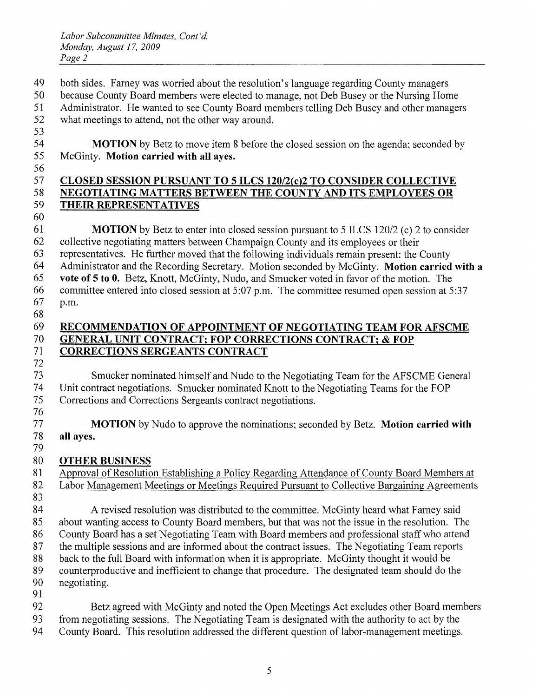- 49 both sides. Farney was worried about the resolution's language regarding County managers 49 both sides. Farney was worried about the resolution's language regarding County managers
- 50 because County Board members were elected to manage, not Deb Busey or the Nursing Home 50 because County Board members were elected to manage, not Deb Busey or the Nursing Home
- 51 Administrator. He wanted to see County Board members telling Deb Busey and other managers 51 Administrator. He wanted to see County Board members telling Deb Busey and other managers
- 52 what meetings to attend, not the other way around. 52 what meetings to attend, not the other way around. 53

<sup>54</sup> MOTION by Betz to move item <sup>8</sup> before the closed session on the agenda; seconded by **MOTION** by Betz to move item 8 before the closed session on the agenda; seconded by 55 McGinty. Motion carried with all ayes. 55 McGinty. **Motion carried with all ayes.** 

56

60

#### 57 CLOSED SESSION PURSUANT TO 5 ILCS 12012(c)2 TO CONSIDER COLLECTIVE **CLOSED SESSION PURSUANT TO 5 ILCS 120/2(c)2 TO CONSIDER COLLECTIVE**  58 NEGOTIATING MATTERS BETWEEN THE COUNTY AND ITS EMPLOYEES OR **NEGOTIATING MATTERS BETWEEN THE COUNTY AND ITS EMPLOYEES OR**  59 THEIR REPRESENTATIVES **THEIR REPRESENTATIVES**

 MOTION by Betz to enter into closed session pursuant to 5 ILCS 120/2 (c) 2 to consider **MOTION** by Betz to enter into closed session pursuant to 5 ILCS 120/2 (c) 2 to consider collective negotiating matters between Champaign County and its employees or their 62 collective negotiating matters between Champaign County and its employees or their representatives. He further moved that the following individuals remain present: the County 63 representatives. He further moved that the following individuals remain present: the County Administrator and the Recording Secretary. Motion seconded by McGinty. Motion carried with <sup>a</sup> 64 Administrator and the Recording Secretary. Motion seconded by McGinty. **Motion carried with a**  vote of 5 to 0. Betz, Knott, McGinty, Nudo, and Smucker voted in favor of the motion. The **vote of 5 to O.** Betz, Knott, McGinty, Nudo, and Smucker voted in favor of the motion. The committee entered into closed session at 5:07 p.m. The committee resumed open session at 5:37 66 committee entered into closed session at 5:07 p.m. The committee resumed open session at 5:37

- 67 p.m. 67 p.m.
- 68

#### RECOMMENDATION OF APPOINTMENT OF NEGOTIATING TEAM FOR AFSCME 69 **RECOMMENDATION OF APPOINTMENT OF NEGOTIATING TEAM FORAFSCME**  70 GENERAL UNIT CONTRACT; FOP CORRECTIONS CONTRACT; & FOP **GENERAL UNIT CONTRACT; FOP CORRECTIONS CONTRACT; & FOP**  71 CORRECTIONS SERGEANTS CONTRACT **CORRECTIONS SERGEANTS CONTRACT**  72

 Smucker nominated himself and Nudo to the Negotiating Team for the AFSCME General 73 Smucker nominated himself and Nudo to the Negotiating Team for the AFSCME General Unit contract negotiations. Smucker nominated Knott to the Negotiating Teams for the FOP 74 Unit contract negotiations. Smucker nominated Knott to the Negotiating Teams for the FOP Corrections and Corrections Sergeants contract negotiations. 75 Corrections and Corrections Sergeants contract negotiations. 76

77 MOTION by Nudo to approve the nominations; seconded by Betz. Motion carried with **MOTION** by Nudo to approve the nominations; seconded by Betz. **Motion carried with**  78 all ayes. **all ayes.**  79

# OTHER BUSINESS 80 **OTHER BUSINESS**

81 Approval of Resolution Establishing a Policy Regarding Attendance of County Board Members at Labor Management Meetings or Meetings Required Pursuant to Collective Bargaining Agreements 82 Labor Management Meetings or Meetings Required Pursuant to Collective Bargaining Agreements 83 84 A revised resolution was distributed to the committee. McGinty heard what Farney said about wanting access to County Board members, but that was not the issue in the resolution. The 85 about wanting access to County Board members, but that was not the issue in the resolution. The County Board has <sup>a</sup> set Negotiating Team with Board members and professional staff who attend 86 County Board has a set Negotiating Team with Board members and professional staffwho attend the multiple sessions and are informed about the contract issues. The Negotiating Team reports 87 the multiple sessions and are informed about the contract issues. The Negotiating Team reports back to the full Board with information when it is appropriate. McGinty thought it would be 88 back to the full Board with information when it is appropriate. McGinty thought it would be counterproductive and inefficient to change that procedure. The designated team should do the 89 counterproductive and inefficient to change that procedure. The designated team should do the negotiating. 90 negotiating. 91

92 Betz agreed with McGinty and noted the Open Meetings Act excludes other Board members from negotiating sessions. The Negotiating Team is designated with the authority to act by the 93 from negotiating sessions. The Negotiating Team is designated with the authority to act by the County Board. This resolution addressed the different question of labor-management meetings. 94 County Board. This resolution addressed the different question of labor-management meetings.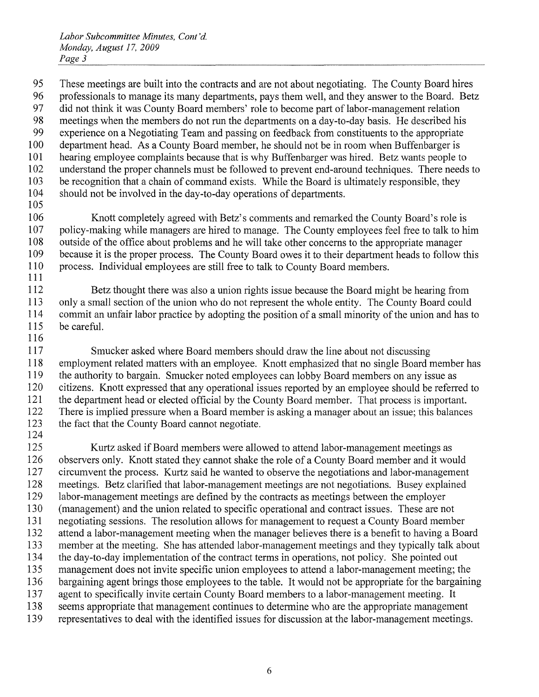95 These meetings are built into the contracts and are not about negotiating. The County Board hires professionals to manage its many departments, pays them well, and they answer to the Board. Betz 96 professionals to manage its many departments, pays them well, and they answer to the Board. Betz did not think it was County Board members' role to become part of labor-management relation 97 did not think it was County Board members' role to become part oflabor-management relation meetings when the members do not run the departments on <sup>a</sup> day-to-day basis. He described his 98 meetings when the members do not run the departments on a day-to-day basis. He described his experience on <sup>a</sup> Negotiating Team and passing on feedback from constituents to the appropriate 99 experience on a Negotiating Team and passing on feedback from constituents to the appropriate department head. As <sup>a</sup> County Board member, he should not be in room when Buffenbarger is 100 department head. As a County Board member, he should not be in room when Buffenbarger is hearing employee complaints because that is why Buffenbarger was hired. Betz wants people to 101 hearing employee complaints because that is why Buffenbarger was hired. Betz wants people to understand the proper channels must be followed to prevent end-around techniques. There needs to 102 understand the proper channels must be followed to prevent end-around techniques. There needs to be recognition that <sup>a</sup> chain of command exists. While the Board is ultimately responsible, they 103 be recognition that a chain of command exists. While the Board is ultimately responsible, they should not be involved in the day-to-day operations of departments. 104 should not be involved in the day-to-day operations of departments. 105 105

106 Knott completely agreed with Betz's comments and remarked the County Board's role is <sup>107</sup> policy-making while managers are hired to manage. The County employees feel free to talk to him 107 policy-making while managers are hired to manage. The County employees feel free to talk to him 108 outside of the office about problems and he will take other concerns to the appropriate manager 109 because it is the proper process. The County Board owes it to their department heads to follow this 109 because it is the proper process. The County Board owes it to their department heads to follow this 110 process. Individual employees are still free to talk to County Board members. 110 process. Individual employees are still free to talk to County Board members. 111 111

112 Betz thought there was also a union rights issue because the Board might be hearing from 113 only <sup>a</sup> small section of the union who do not represent the whole entity. The County Board could 113 only a small section of the union who do not represent the whole entity. The County Board could 114 commit an unfair labor practice by adopting the position of <sup>a</sup> small minority of the union and has to 114 commit an unfair labor practice by adopting the position of a small minority of the union and has to 115 be careful. 115 be careful. 116 116

 Smucker asked where Board members should draw the line about not discussing 117 Smucker asked where Board members should draw the line about not discussing employment related matters with an employee. Knott emphasized that no single Board member has 118 employment related matters with an employee. Knott emphasized that no single Board member has 119 the authority to bargain. Smucker noted employees can lobby Board members on any issue as citizens. Knott expressed that any operational issues reported by an employee should be referred to 120 citizens. Knott expressed that any operational issues reported by an employee should be referred to the department head or elected official by the County Board member. That process is important. 121 the department head or elected official by the County Board member. That process is important. There is implied pressure when <sup>a</sup> Board member is asking <sup>a</sup> manager about an issue; this balances 122 There is implied pressure when a Board member is asking a manager about an issue; this balances 123 the fact that the County Board cannot negotiate.

 Kurtz asked if Board members were allowed to attend labor-management meetings as 125 Kurtz asked if Board members were allowed to attend labor-management meetings as observers only. Knott stated they cannot shake the role of <sup>a</sup> County Board member and it would 126 observers only. Knott stated they cannot shake the role of a County Board member and it would circumvent the process. Kurtz said he wanted to observe the negotiations and labor-management 127 circumvent the process. Kurtz said he wanted to observe the negotiations and labor-management meetings. Betz clarified that labor-management meetings are not negotiations. Busey explained 128 meetings. Betz clarified that labor-management meetings are not negotiations. Busey explained labor-management meetings are defined by the contracts as meetings between the employer 129 labor-management meetings are defined by the contracts as meetings between the employer (management) and the union related to specific operational and contract issues. These are not 130 (management) and the union related to specific operational and contract issues. These are not negotiating sessions. The resolution allows for management to request <sup>a</sup> County Board member 131 negotiating sessions. The resolution allows for management to request a County Board member attend <sup>a</sup> labor-management meeting when the manager believes there is <sup>a</sup> benefit to having <sup>a</sup> Board 132 attend a labor-management meeting when the manager believes there is a benefit to having a Board member at the meeting. She has attended labor-management meetings and they typically talk about 133 member at the meeting. She has attended labor-management meetings and they typically talk about the day-to-day implementation of the contract terms in operations, not policy. She pointed out 134 the day-to-day implementation of the contract terms in operations, not policy. She pointed out management does not invite specific union employees to attend <sup>a</sup> labor-management meeting; the 135 management does not invite specific union employees to attend a labor-management meeting; the bargaining agent brings those employees to the table. It would not be appropriate for the bargaining 136 bargaining agent brings those employees to the table. It would not be appropriate for the bargaining agent to specifically invite certain County Board members to <sup>a</sup> labor-management meeting. It 137 agent to specifically invite certain County Board members to a labor-management meeting. It seems appropriate that management continues to determine who are the appropriate management 138 seems appropriate that management continues to determine who are the appropriate management representatives to deal with the identified issues for discussion at the labor-management meetings. 139 representatives to deal with the identified issues for discussion at the labor-management meetings.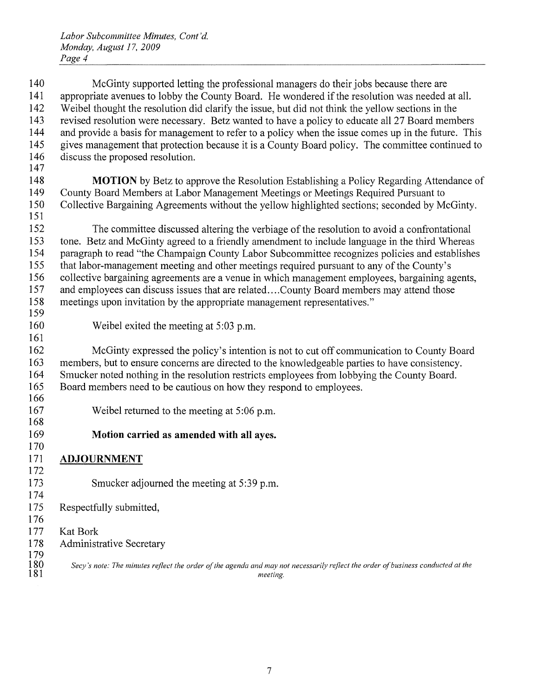McGinty supported letting the professional managers do their jobs because there are 140 McGinty supported letting the professional managers do their jobs because there are 141 appropriate avenues to lobby the County Board. He wondered if the resolution was needed at all. Weibel thought the resolution did clarify the issue, but did not think the yellow sections in the 142 Weibel thought the resolution did clarify the issue, but did not think the yellow sections in the revised resolution were necessary. Betz wanted to have <sup>a</sup> policy to educate all 27 Board members 143 revised resolution were necessary. Betz wanted to have a policy to educate all 27 Board members and provide <sup>a</sup> basis for management to refer to <sup>a</sup> policy when the issue comes up in the future. This 144 and provide a basis for management to refer to a policy when the issue comes up in the future. This gives management that protection because it is <sup>a</sup> County Board policy. The committee continued to 145 gives management that protection because it is a County Board policy. The committee continued to discuss the proposed resolution. 146 discuss the proposed resolution. 147 147 MOTION by Betz to approve the Resolution Establishing <sup>a</sup> Policy Regarding Attendance of 148 **MOTION** by Betz to approve the Resolution Establishing a Policy Regarding Attendance of County Board Members at Labor Management Meetings or Meetings Required Pursuant to 149 County Board Members at Labor Management Meetings or Meetings Required Pursuant to Collective Bargaining Agreements without the yellow highlighted sections; seconded by McGinty. 150 Collective Bargaining Agreements without the yellow highlighted sections; seconded by McGinty. 151 151 The committee discussed altering the verbiage of the resolution to avoid a confrontational 152 The committee discussed altering the verbiage of the resolution to avoid a confrontational tone. Betz and McGinty agreed to <sup>a</sup> friendly amendment to include language in the third Whereas 153 tone. Betz and McGinty agreed to a friendly amendment to include language in the third Whereas paragraph to read "the Champaign County Labor Subcommittee recognizes policies and establishes 154 paragraph to read "the Champaign County Labor Subcommittee recognizes policies and establishes that labor-management meeting and other meetings required pursuant to any of the County's 155 that labor-management meeting and other meetings required pursuant to any of the County's collective bargaining agreements are <sup>a</sup> venue in which management employees, bargaining agents, 156 collective bargaining agreements are a venue in which management employees, bargaining agents, and employees can discuss issues that are related.. . .County Board members may attend those 157 and employees can discuss issues that are related .... County Board members may attend those meetings upon invitation by the appropriate management representatives." 158 meetings upon invitation by the appropriate management representatives." 159 159 Weibel exited the meeting at 5:03 p.m. 160 Weibel exited the meeting at 5:03 p.m. 161 161 McGinty expressed the policy's intention is not to cut off communication to County Board 162 McGinty expressed the policy's intention is not to cut off communication to County Board members, but to ensure concerns are directed to the knowledgeable parties to have consistency. 163 members, but to ensure concerns are directed to the knowledgeable parties to have consistency. Smucker noted nothing in the resolution restricts employees from lobbying the County Board. 164 Smucker noted nothing in the resolution restricts employees from lobbying the County Board. Board members need to be cautious on how they respond to employees. 165 Board members need to be cautious on how they respond to employees. 166 166 Weibel returned to the meeting at 5:06 p.m. 167 Weibel returned to the meeting at 5:06 p.m. 168 168 Motion carried as amended with all ayes. 169 **Motion carried as amended with all ayes.**  170 170 ADJOURNMENT 171 **ADJOURNMENT**  172 172 Smucker adjourned the meeting at 5:39 p.m. 173 Smucker adjourned the meeting at 5:39 p.m. 174 174 Respectfully submitted, 175 Respectfully submitted, 176 176 KatBork 177 Kat Bork Administrative Secretary 178 Administrative Secretary 179 179 Secy's note: The minutes reflect the order of the agenda and may not necessarily reflect the order of business conducted at the 181 meeting. 181 *meeting.*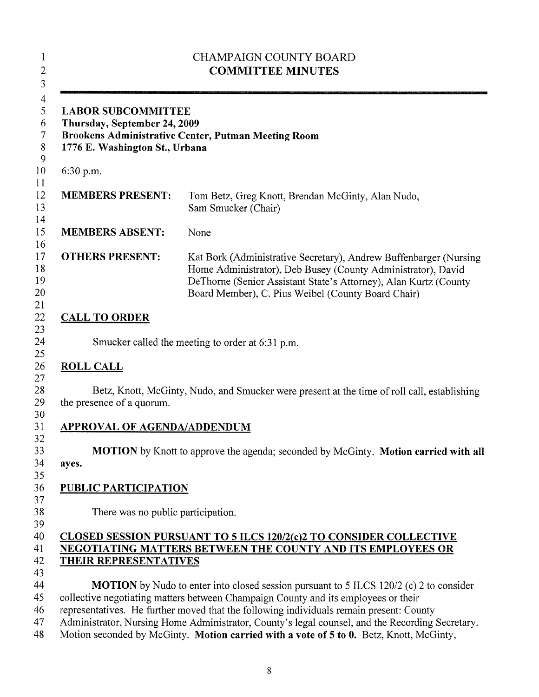| <b>LABOR SUBCOMMITTEE</b><br>Thursday, September 24, 2009<br>Brookens Administrative Center, Putman Meeting Room<br>1776 E. Washington St., Urbana |                                                                                                                                                                                                                                                             |  |  |  |
|----------------------------------------------------------------------------------------------------------------------------------------------------|-------------------------------------------------------------------------------------------------------------------------------------------------------------------------------------------------------------------------------------------------------------|--|--|--|
| 6:30 p.m.                                                                                                                                          |                                                                                                                                                                                                                                                             |  |  |  |
| <b>MEMBERS PRESENT:</b>                                                                                                                            | Tom Betz, Greg Knott, Brendan McGinty, Alan Nudo,<br>Sam Smucker (Chair)                                                                                                                                                                                    |  |  |  |
| <b>MEMBERS ABSENT:</b>                                                                                                                             | None                                                                                                                                                                                                                                                        |  |  |  |
| <b>OTHERS PRESENT:</b>                                                                                                                             | Kat Bork (Administrative Secretary), Andrew Buffenbarger (Nursing<br>Home Administrator), Deb Busey (County Administrator), David<br>DeThorne (Senior Assistant State's Attorney), Alan Kurtz (County<br>Board Member), C. Pius Weibel (County Board Chair) |  |  |  |
| <b>CALL TO ORDER</b>                                                                                                                               |                                                                                                                                                                                                                                                             |  |  |  |
|                                                                                                                                                    | Smucker called the meeting to order at 6:31 p.m.                                                                                                                                                                                                            |  |  |  |
| <b>ROLL CALL</b>                                                                                                                                   |                                                                                                                                                                                                                                                             |  |  |  |
|                                                                                                                                                    |                                                                                                                                                                                                                                                             |  |  |  |
| the presence of a quorum.                                                                                                                          | Betz, Knott, McGinty, Nudo, and Smucker were present at the time of roll call, establishing                                                                                                                                                                 |  |  |  |
| <b>APPROVAL OF AGENDA/ADDENDUM</b>                                                                                                                 |                                                                                                                                                                                                                                                             |  |  |  |
|                                                                                                                                                    |                                                                                                                                                                                                                                                             |  |  |  |
| ayes.                                                                                                                                              | MOTION by Knott to approve the agenda; seconded by McGinty. Motion carried with all                                                                                                                                                                         |  |  |  |
|                                                                                                                                                    |                                                                                                                                                                                                                                                             |  |  |  |
|                                                                                                                                                    |                                                                                                                                                                                                                                                             |  |  |  |
|                                                                                                                                                    |                                                                                                                                                                                                                                                             |  |  |  |
| There was no public participation.                                                                                                                 |                                                                                                                                                                                                                                                             |  |  |  |
| <b>PUBLIC PARTICIPATION</b>                                                                                                                        |                                                                                                                                                                                                                                                             |  |  |  |
|                                                                                                                                                    | <b>CLOSED SESSION PURSUANT TO 5 ILCS 120/2(c)2 TO CONSIDER COLLECTIVE</b><br>NEGOTIATING MATTERS BETWEEN THE COUNTY AND ITS EMPLOYEES OR                                                                                                                    |  |  |  |
| <b>THEIR REPRESENTATIVES</b>                                                                                                                       |                                                                                                                                                                                                                                                             |  |  |  |